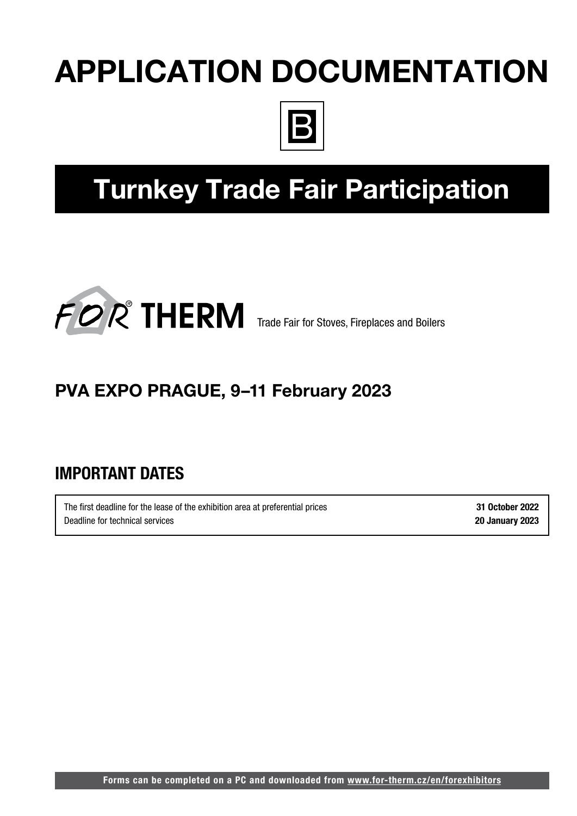# APPLICATION DOCUMENTATION



# Turnkey Trade Fair Participation



## PVA EXPO PRAGUE, 9–11 February 2023

## IMPORTANT DATES

The first deadline for the lease of the exhibition area at preferential prices 31 October 2022 Deadline for technical services 20 January 2023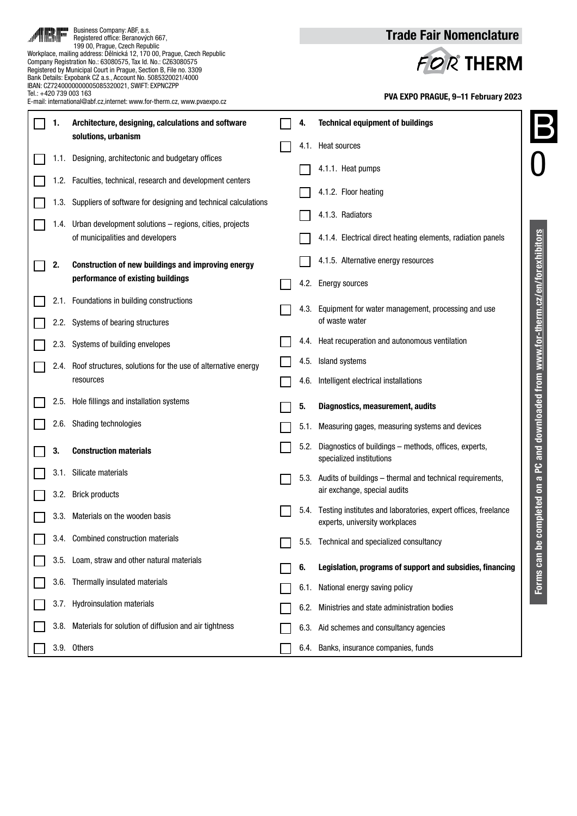|                                                                                                   |      | Business Company: ABF, a.s.<br>Registered office: Beranových 667,<br>199 00, Prague, Czech Republic                                                                                                                                                                                                                           |           |                                     | <b>Trade Fair Nomenclature</b>                                                                      |  |  |
|---------------------------------------------------------------------------------------------------|------|-------------------------------------------------------------------------------------------------------------------------------------------------------------------------------------------------------------------------------------------------------------------------------------------------------------------------------|-----------|-------------------------------------|-----------------------------------------------------------------------------------------------------|--|--|
|                                                                                                   |      | Workplace, mailing address: Dělnická 12, 170 00, Prague, Czech Republic<br>Company Registration No.: 63080575, Tax Id. No.: CZ63080575<br>Registered by Municipal Court in Prague, Section B, File no. 3309<br>Bank Details: Expobank CZ a.s., Account No. 5085320021/4000<br>IBAN: CZ7240000000005085320021, SWIFT: EXPNCZPP | FOR THERM |                                     |                                                                                                     |  |  |
| Tel.: +420 739 003 163<br>E-mail: international@abf.cz,internet: www.for-therm.cz, www.pvaexpo.cz |      |                                                                                                                                                                                                                                                                                                                               |           | PVA EXPO PRAGUE, 9-11 February 2023 |                                                                                                     |  |  |
|                                                                                                   | 1.   | Architecture, designing, calculations and software                                                                                                                                                                                                                                                                            |           |                                     | <b>Technical equipment of buildings</b>                                                             |  |  |
|                                                                                                   |      | solutions, urbanism                                                                                                                                                                                                                                                                                                           |           |                                     | 4.1. Heat sources                                                                                   |  |  |
|                                                                                                   |      | 1.1. Designing, architectonic and budgetary offices<br>1.2. Faculties, technical, research and development centers                                                                                                                                                                                                            |           |                                     | 4.1.1. Heat pumps                                                                                   |  |  |
|                                                                                                   |      | 1.3. Suppliers of software for designing and technical calculations                                                                                                                                                                                                                                                           |           |                                     | 4.1.2. Floor heating                                                                                |  |  |
|                                                                                                   |      | 1.4. Urban development solutions - regions, cities, projects                                                                                                                                                                                                                                                                  |           |                                     | 4.1.3. Radiators                                                                                    |  |  |
|                                                                                                   |      | of municipalities and developers                                                                                                                                                                                                                                                                                              |           |                                     | 4.1.4. Electrical direct heating elements, radiation panels                                         |  |  |
|                                                                                                   | 2.   | Construction of new buildings and improving energy                                                                                                                                                                                                                                                                            |           |                                     | 4.1.5. Alternative energy resources                                                                 |  |  |
|                                                                                                   |      | performance of existing buildings                                                                                                                                                                                                                                                                                             |           |                                     | 4.2. Energy sources                                                                                 |  |  |
|                                                                                                   |      | 2.1. Foundations in building constructions                                                                                                                                                                                                                                                                                    |           |                                     | 4.3. Equipment for water management, processing and use                                             |  |  |
|                                                                                                   |      | 2.2. Systems of bearing structures                                                                                                                                                                                                                                                                                            |           |                                     | of waste water<br>4.4. Heat recuperation and autonomous ventilation                                 |  |  |
|                                                                                                   |      | 2.3. Systems of building envelopes                                                                                                                                                                                                                                                                                            |           | 4.5.                                | Island systems                                                                                      |  |  |
|                                                                                                   | 2.4. | Roof structures, solutions for the use of alternative energy<br>resources                                                                                                                                                                                                                                                     |           | 4.6.                                | Intelligent electrical installations                                                                |  |  |
|                                                                                                   | 2.5. | Hole fillings and installation systems                                                                                                                                                                                                                                                                                        |           | 5.                                  | and downloaded from www.for-therm.cz/en/forexhibitors<br>Diagnostics, measurement, audits           |  |  |
|                                                                                                   | 2.6. | <b>Shading technologies</b>                                                                                                                                                                                                                                                                                                   |           |                                     | 5.1. Measuring gages, measuring systems and devices                                                 |  |  |
|                                                                                                   | 3.   | <b>Construction materials</b>                                                                                                                                                                                                                                                                                                 |           |                                     | 5.2. Diagnostics of buildings – methods, offices, experts,<br>specialized institutions              |  |  |
|                                                                                                   |      | 3.1. Silicate materials                                                                                                                                                                                                                                                                                                       |           |                                     | <u>م</u><br>5.3. Audits of buildings – thermal and technical requirements,<br>$\overline{6}$        |  |  |
|                                                                                                   |      | 3.2. Brick products                                                                                                                                                                                                                                                                                                           |           |                                     | air exchange, special audits<br>5.4. Testing institutes and laboratories, expert offices, freelance |  |  |
|                                                                                                   | 3.3. | Materials on the wooden basis                                                                                                                                                                                                                                                                                                 |           |                                     | experts, university workplaces                                                                      |  |  |
|                                                                                                   |      | 3.4. Combined construction materials                                                                                                                                                                                                                                                                                          |           |                                     | 5.5. Technical and specialized consultancy                                                          |  |  |
|                                                                                                   |      | 3.5. Loam, straw and other natural materials                                                                                                                                                                                                                                                                                  |           | 6.                                  | Forms can be completed on<br>Legislation, programs of support and subsidies, financing              |  |  |
|                                                                                                   |      | 3.6. Thermally insulated materials                                                                                                                                                                                                                                                                                            |           |                                     | 6.1. National energy saving policy                                                                  |  |  |
|                                                                                                   |      | 3.7. Hydroinsulation materials                                                                                                                                                                                                                                                                                                |           |                                     | 6.2. Ministries and state administration bodies                                                     |  |  |
|                                                                                                   |      | 3.8. Materials for solution of diffusion and air tightness                                                                                                                                                                                                                                                                    |           |                                     | 6.3. Aid schemes and consultancy agencies                                                           |  |  |
|                                                                                                   |      | 3.9. Others                                                                                                                                                                                                                                                                                                                   |           |                                     | 6.4. Banks, insurance companies, funds                                                              |  |  |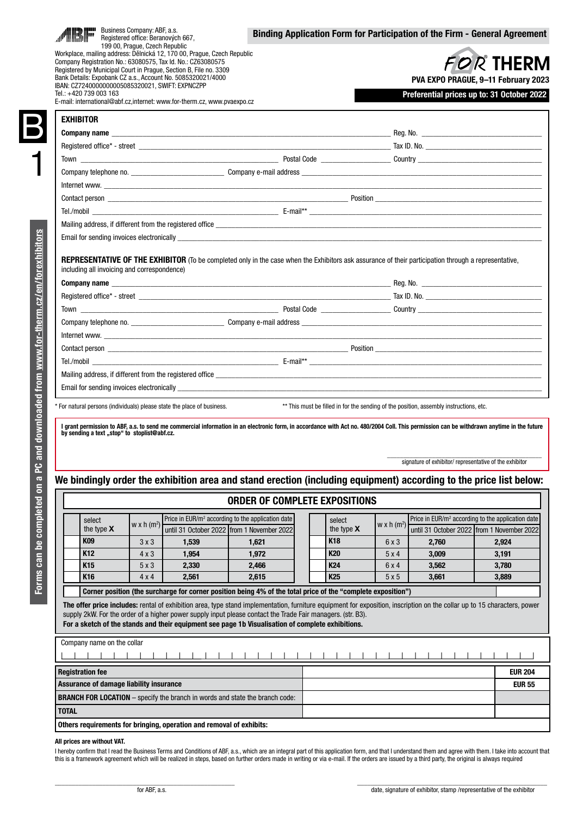|                                                                                                                                                                                                                                  |                                              |                         | Workplace, mailing address: Dělnická 12, 170 00, Prague, Czech Republic<br>Company Registration No.: 63080575, Tax Id. No.: CZ63080575<br>Registered by Municipal Court in Prague, Section B. File no. 3309 |                                                                                                                                                                                                                                | <b>FOR THERM</b> |                                              |              |                                                                                        |       |
|----------------------------------------------------------------------------------------------------------------------------------------------------------------------------------------------------------------------------------|----------------------------------------------|-------------------------|-------------------------------------------------------------------------------------------------------------------------------------------------------------------------------------------------------------|--------------------------------------------------------------------------------------------------------------------------------------------------------------------------------------------------------------------------------|------------------|----------------------------------------------|--------------|----------------------------------------------------------------------------------------|-------|
|                                                                                                                                                                                                                                  |                                              |                         | Bank Details: Expobank CZ a.s., Account No. 5085320021/4000                                                                                                                                                 |                                                                                                                                                                                                                                |                  | PVA EXPO PRAGUE, 9-11 February 2023          |              |                                                                                        |       |
| IBAN: CZ7240000000005085320021, SWIFT: EXPNCZPP<br>Tel.: +420 739 003 163<br>E-mail: international@abf.cz.internet: www.for-therm.cz. www.pvaexpo.cz                                                                             |                                              |                         |                                                                                                                                                                                                             |                                                                                                                                                                                                                                |                  |                                              |              | Preferential prices up to: 31 October 2022                                             |       |
|                                                                                                                                                                                                                                  |                                              |                         |                                                                                                                                                                                                             |                                                                                                                                                                                                                                |                  |                                              |              |                                                                                        |       |
| <b>EXHIBITOR</b>                                                                                                                                                                                                                 |                                              |                         |                                                                                                                                                                                                             |                                                                                                                                                                                                                                |                  |                                              |              |                                                                                        |       |
| <b>Company name company name company in the company of the company of the company name in the company of the company of the company of the company of the company of the company of the company of the company of the compan</b> |                                              |                         |                                                                                                                                                                                                             |                                                                                                                                                                                                                                |                  |                                              |              |                                                                                        |       |
|                                                                                                                                                                                                                                  |                                              |                         |                                                                                                                                                                                                             |                                                                                                                                                                                                                                |                  |                                              |              |                                                                                        |       |
|                                                                                                                                                                                                                                  |                                              |                         |                                                                                                                                                                                                             |                                                                                                                                                                                                                                |                  |                                              |              |                                                                                        |       |
|                                                                                                                                                                                                                                  |                                              |                         |                                                                                                                                                                                                             |                                                                                                                                                                                                                                |                  |                                              |              |                                                                                        |       |
|                                                                                                                                                                                                                                  |                                              |                         |                                                                                                                                                                                                             |                                                                                                                                                                                                                                |                  |                                              |              |                                                                                        |       |
|                                                                                                                                                                                                                                  |                                              |                         |                                                                                                                                                                                                             |                                                                                                                                                                                                                                |                  |                                              |              |                                                                                        |       |
|                                                                                                                                                                                                                                  |                                              |                         |                                                                                                                                                                                                             | Mailing address, if different from the registered office                                                                                                                                                                       |                  |                                              |              |                                                                                        |       |
|                                                                                                                                                                                                                                  |                                              |                         |                                                                                                                                                                                                             | Email for sending invoices electronically example of the state of the state of the state of the state of the state of the state of the state of the state of the state of the state of the state of the state of the state of  |                  |                                              |              |                                                                                        |       |
|                                                                                                                                                                                                                                  | including all invoicing and correspondence)  |                         |                                                                                                                                                                                                             |                                                                                                                                                                                                                                |                  |                                              |              |                                                                                        |       |
|                                                                                                                                                                                                                                  |                                              |                         |                                                                                                                                                                                                             | REPRESENTATIVE OF THE EXHIBITOR (To be completed only in the case when the Exhibitors ask assurance of their participation through a representative,                                                                           |                  |                                              |              |                                                                                        |       |
|                                                                                                                                                                                                                                  |                                              |                         |                                                                                                                                                                                                             |                                                                                                                                                                                                                                |                  |                                              |              |                                                                                        |       |
|                                                                                                                                                                                                                                  |                                              |                         |                                                                                                                                                                                                             |                                                                                                                                                                                                                                |                  |                                              |              |                                                                                        |       |
|                                                                                                                                                                                                                                  |                                              |                         |                                                                                                                                                                                                             |                                                                                                                                                                                                                                |                  |                                              |              |                                                                                        |       |
|                                                                                                                                                                                                                                  |                                              |                         |                                                                                                                                                                                                             |                                                                                                                                                                                                                                |                  |                                              |              |                                                                                        |       |
|                                                                                                                                                                                                                                  |                                              |                         |                                                                                                                                                                                                             |                                                                                                                                                                                                                                |                  |                                              |              |                                                                                        |       |
|                                                                                                                                                                                                                                  |                                              |                         |                                                                                                                                                                                                             |                                                                                                                                                                                                                                |                  |                                              |              |                                                                                        |       |
|                                                                                                                                                                                                                                  |                                              |                         |                                                                                                                                                                                                             |                                                                                                                                                                                                                                |                  |                                              |              |                                                                                        |       |
|                                                                                                                                                                                                                                  |                                              |                         |                                                                                                                                                                                                             |                                                                                                                                                                                                                                |                  |                                              |              |                                                                                        |       |
|                                                                                                                                                                                                                                  |                                              |                         |                                                                                                                                                                                                             |                                                                                                                                                                                                                                |                  |                                              |              |                                                                                        |       |
|                                                                                                                                                                                                                                  |                                              |                         |                                                                                                                                                                                                             | Email for sending invoices electronically exercise that the contract of the contract of the contract of the contract of the contract of the contract of the contract of the contract of the contract of the contract of the co |                  |                                              |              |                                                                                        |       |
|                                                                                                                                                                                                                                  |                                              |                         |                                                                                                                                                                                                             |                                                                                                                                                                                                                                |                  |                                              |              |                                                                                        |       |
|                                                                                                                                                                                                                                  |                                              |                         | * For natural persons (individuals) please state the place of business.                                                                                                                                     |                                                                                                                                                                                                                                |                  |                                              |              | ** This must be filled in for the sending of the position, assembly instructions, etc. |       |
|                                                                                                                                                                                                                                  | by sending a text "stop" to stoplist@abf.cz. |                         |                                                                                                                                                                                                             | I grant permission to ABF, a.s. to send me commercial information in an electronic form, in accordance with Act no. 480/2004 Coll. This permission can be withdrawn anytime in the future                                      |                  |                                              |              |                                                                                        |       |
|                                                                                                                                                                                                                                  |                                              |                         |                                                                                                                                                                                                             |                                                                                                                                                                                                                                |                  |                                              |              |                                                                                        |       |
|                                                                                                                                                                                                                                  |                                              |                         |                                                                                                                                                                                                             |                                                                                                                                                                                                                                |                  |                                              |              |                                                                                        |       |
|                                                                                                                                                                                                                                  |                                              |                         |                                                                                                                                                                                                             |                                                                                                                                                                                                                                |                  |                                              |              | signature of exhibitor/ representative of the exhibitor                                |       |
|                                                                                                                                                                                                                                  |                                              |                         |                                                                                                                                                                                                             | We bindingly order the exhibition area and stand erection (including equipment) according to the price list below:                                                                                                             |                  |                                              |              |                                                                                        |       |
|                                                                                                                                                                                                                                  |                                              |                         |                                                                                                                                                                                                             | <b>ORDER OF COMPLETE EXPOSITIONS</b>                                                                                                                                                                                           |                  |                                              |              |                                                                                        |       |
|                                                                                                                                                                                                                                  |                                              |                         |                                                                                                                                                                                                             |                                                                                                                                                                                                                                |                  |                                              |              |                                                                                        |       |
|                                                                                                                                                                                                                                  | select                                       | w x h (m <sup>2</sup> ) |                                                                                                                                                                                                             | Price in EUR/m <sup>2</sup> according to the application date                                                                                                                                                                  |                  | select<br>the type $\boldsymbol{\mathsf{X}}$ | w x h $(m2)$ | Price in EUR/m <sup>2</sup> according to the application date                          |       |
|                                                                                                                                                                                                                                  | the type X<br>K09                            | $3 \times 3$            | 1,539                                                                                                                                                                                                       | until 31 October 2022   from 1 November 2022<br>1,621                                                                                                                                                                          |                  | K18                                          | 6x3          | until 31 October 2022 from 1 November 2022<br>2,760                                    | 2,924 |
|                                                                                                                                                                                                                                  | K12                                          | $4 \times 3$            | 1,954                                                                                                                                                                                                       | 1,972                                                                                                                                                                                                                          |                  | K <sub>20</sub>                              | 5 x 4        | 3,009                                                                                  | 3,191 |

Corner position (the surcharge for corner position being 4% of the total price of the "complete exposition")

The offer price includes: rental of exhibition area, type stand implementation, furniture equipment for exposition, inscription on the collar up to 15 characters, power supply 2kW. For the order of a higher power supply input please contact the Trade Fair managers. (str. B3).

For a sketch of the stands and their equipment see page 1b Visualisation of complete exhibitions.

| Company name on the collar                                                          |  |                |  |  |  |  |
|-------------------------------------------------------------------------------------|--|----------------|--|--|--|--|
|                                                                                     |  |                |  |  |  |  |
| <b>Registration fee</b>                                                             |  | <b>EUR 204</b> |  |  |  |  |
| Assurance of damage liability insurance                                             |  | <b>EUR 55</b>  |  |  |  |  |
| <b>BRANCH FOR LOCATION</b> – specify the branch in words and state the branch code: |  |                |  |  |  |  |
| <b>TOTAL</b>                                                                        |  |                |  |  |  |  |
| Others requirements for bringing, operation and removal of exhibits:                |  |                |  |  |  |  |

### All prices are without VAT.

B

I hereby confirm that I read the Business Terms and Conditions of ABF, a.s., which are an integral part of this application form, and that I understand them and agree with them. I take into account that this is a framework agreement which will be realized in steps, based on further orders made in writing or via e-mail. If the orders are issued by a third party, the original is always required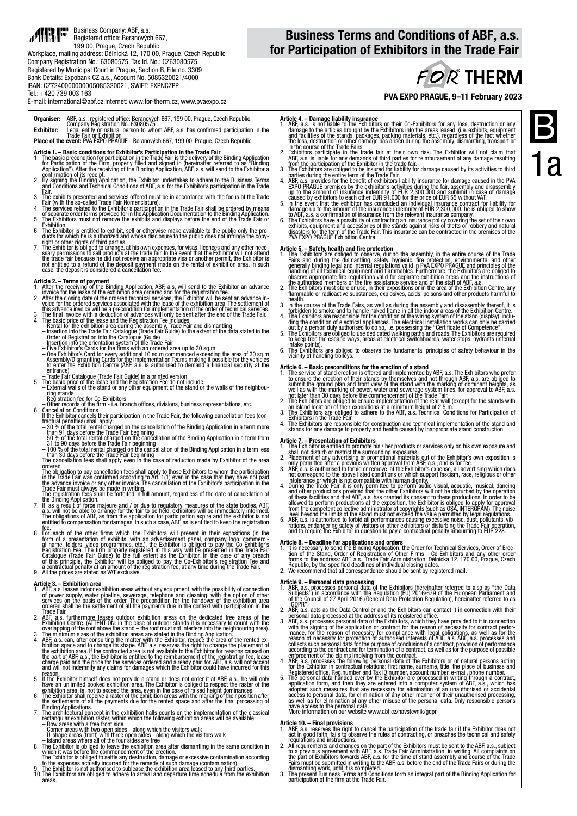### 1 Business Company: ABF, a.s. ا<br>اس Registered office: Beranových 667, 199 00, Prague, Czech Republic Workplace, mailing address: Dělnická 12, 170 00, Prague, Czech Republic Company Registration No.: 63080575, Tax Id. No.: CZ63080575 Registered by Municipal Court in Prague, Section B, File no. 3309 Bank Details: Expobank CZ a.s., Account No. 5085320021/4000 IBAN: CZ7240000000005085320021, SWIFT: EXPNCZPP

### Business Terms and Conditions of ABF, a.s. for Participation of Exhibitors in the Trade Fair

**FOR THERM** 

E-mail: international@abf.cz,internet: www.for-therm.cz, www.pvaexpo.cz

### Organiser: ABF, a.s., registered office: Beranových 667, 199 00, Prague, Czech Republic, Company Registration No. 63080575

E**xhibitor:** Legal entity or natural person to whom ABF, a.s. has confirmed participation in the<br>**Place of the event:** PVA EXPO PRAGUE - Beranových 667, 199 00, Prague, Czech Republic<br>**Place of the event:** PVA EXPO PRAGUE

### Article 1. – Basic conditions for Exhibitor's Participation in the Trade Fair

- 1. The basic precondition for participation in the Trade Fair is the delivery of the Binding Application.<br>6ro Participation of the Firm, properly filled and signed in (hereinafter referred to as<br>Application"). After the re
- 2. By signification of its receipt.<br>
2. By signification of its receipt.<br>
2. By signification of its receipt.<br>
2. By signification and Technical Conditions of ABF, a.s. for the Exhibitor's participation in the Trade
- 
- 
- Fair.<br>3. The exhibits presented and services offered must be in accordance with the focus of the Trade.<br>5. Fair (with the so-called Trade Fair Nomenclature).<br>4. The services related to the Exhibitor's participation in the
- 6. The Exhibitor is entitled to exhibit, sell or otherwise make available to the public only the pro- ducts for which he is authorized and whose disclosure to the public does not infringe the copy-
- right or other rights of third parties.<br>The Exhibitor is obliged to arrange, at his own expenses, for visas, licences and any other nece-<br>sary permissions to sell products at the trade fair. In the event that the Exhibitor

Tel.: +420 739 003 163

- **Article 2. Terms of payment**<br>1. After the receiving of the Binding Application, ABF, a.s. will send to the Exhibitor an advance<br>1. After the clear of the exhibition area ordered and for the registration fee.<br>2. After th
- 
- 
- 
- 
- 
- this advance invoice will be a precondition for implementation of the order of technical services.<br>3. The final invoice with a deduction of advances will only be sent after the end of the Trade Fair.<br>4. The basic price of
- 
- entrance)<br>
Trade Fair Gatalogue (Trade Fair Guide) in a printed version<br>
5. The basic price of the lease and the Registration Fee do not include:<br>
 External walls of the stand or any other equipment of the stand or the wa
- 
- Other records of the firm i.e. branch offices, divisions, business representations, etc.<br>
6. Cancellation Conditions<br>
If the Exhibitor cancels their participation in the Trade Fair, the following cancellation fees (co
- 
- 
- 
- 

- The obligation to pay cancellation fees shall apply to those Exhibitors to whom the participation in the Trade Fair was continued according to Art. 1(1) even in the case that they have not paid in the Trade Fair must alway
- 8. For each of the other firms which the Exhibitors will present in their expositions (in the drim of a presentation of exhibits, with an advertisement panel, company logo, commercial aname, folders, video programmes, etc.

- **Article 3. Exhibition area** without any equipment, with the possibility of connection<br>1. ABF, a.s. leases indoor exhibition areas without any equipment, with the possibility of connection<br>of power supply, water pipeline
- Trade Fair.<br>2. ABF, a.s. furthermore leases outdoor exhibition areas on the dedicated free areas of the<br>Exhibition Centre. (ATTENTION: in the case of outdoor stands it is necessary to count with the overlapping of the roof above the stand – the roof must not interfere into the neighbouring area). 3. The minimum sizes of the exhibition areas are stated in the Binding Application.
- 4. ABF, a.s. can, after consulting the matter with the Exhibitor, reduce the area of the rented ex-<br>hibition space and to change its shape. ABF, a.s. reserves the rejard to change the placement of<br>the exhibition area. If
- reason.<br>5. If the Exhibitor himself does not provide a stand or does not order it at ABF, a.s., he will only<br>have an unlimited booked exhibition area. The Exhibitor is obliged to respect the raster of the
- exhibition area, ie. not to exceed the area, even in the case of raised height dominances.<br>6. The Exhibitor shall receive a raster of the exhibition areas with the marking of their position after<br>the settlements of all th
- Binding Applications.<br>
The architectural concept in the exhibition halls counts on the implementation of the classical<br>
rectangular exhibition raster, within which the following exhibition areas will be available:<br>
 Row a
- 
- 
- 
- The Exhibitor is obliged to settle any destruction, damage or excessive contamination according<br>to the expenses actually incurred for the remedy of such damage (contamination).<br>9. The Exhibitor is not authorised to subleas
- 10. The Exhibitors are obliged to adhere to arrival and departure time schedule from the exhibition areas.

PVA EXPO PRAGUE, 9–11 February 2023

- **Article 4. Damage liability insurance**<br>1. ABF, a.s. is not liable to the Exhibitors or their Co-Exhibitors for any loss, destruction or any<br>damage to the articles brought by the Exhibitors into the areas leased. (i.e. e
- 
- 
- from the participation of the Exhibitor in the trade fair.<br>3. The Exhibitors are obliged to be insured for liability for damage caused by its activities to third<br>parties during the entire term of the Trade Fair.<br>4. ABF, a.
- 
- to ABF, a.s. a confirmation of insurance from the relevant insurance company.<br>6. The Exhibitors have a possibility of contracting an insurance policy covering the set of their own<br>exhibits, equipment and accessories of the

- **Article 5. Safety, health and fire protection**<br>1. The Exhibitors are obliged to observe, during the assembly, in the entire course of the Trade<br>Tair Sam during the dismantling, safety, hygienic, fire protection, environ
- 
- health.<br>3. In the course of the Trade Fairs, as well as during the assembly and disassembly thereof, it is forbidden t<br>6. forbidden to smoke and to handle naked flame in all the indoor areas of the Exhibition Centre.
- 4. The Exhibitors are responsible for the condition of the wiring system of the stand (display), inclu- ding the condition of electrical appliances. The electrical installation works can only be carried
- out by a person duly authorised to do so, i.e. possessing the "Certificate of Competence".<br>5. The Exhibitors are obliged to use dedicated walking paths and roads. The Exhibitors are required<br>to keep free the escape ways, a
- intake points).<br>6. The Exhibitors are obliged to observe the fundamental principles of safety behaviour in the<br>vicinity of handling trolleys.

- **Article 6. Basic preconditions for the erection of a stand**<br>1. The service of stand erection is offered and implemented by ABF, a.s. The Exhibitors who prefer<br>to ensure the erection of their stands by themselves and no
- 
- 
- 4. The Exhibitors are responsible for construction and technical implementation of the stand and<br>stands for any damage to property and health caused by inappropriate stand construction.

- 
- **Article 7. Presentation of Exhibitors**<br>1. The Exhibitor is entitled to promote his / her products or services only on his own exposure and<br>1. The Exhibitor or restrict the surrounding exposures<br>2. Placement of any adverti
- intolerance or which is not compatible with human dignity.<br>A During the Trade Fair, it is only permitted to perform audio-visual, acoustic, musical, dancing<br>and other productions provided that the other Exhibitors will not
- 
- 

**Article 8. – Deadline for applications and orders**<br>1. It is necessary to send the Binding Application, the Order for Technical Services, Order of Erec-<br>tion of the Stand, Order of Registration of Other Firms - Co-Exhibito

- **Article 9. Personal data processing**<br>1. ABF, a.s. processes personal data of the Exhibitors (hereinafter referred to also as "the Data"<br>5. Subjects") in accordance with the Regulation (EU) 2016/679 of the European Parli
- 2. ABF, a.s. acts as the Data Controller and the Exhibitors can contact it in connection with their
- 2. ABF, a.s. acts as the Data Controller and the Exhibitors can contact it in connection with their<br>gersonal data processed at the address of its registered office.<br>The same consesses personal data of the Exhibitors, which
- 
- Registered office, Reg.number and Tax ID number, account number, e-mail, phone number.<br>5. The personal data handed over by the Exhibitor are processed in writing through a contract,<br>application form, and then they are ent

Article 10. – Final provisions<br>1. ABF, a.s. reserves the right to cancel the participation of the trade fair if the Exhibitor does not<br>act in good faith, fails to observe the rules of contracting, or breaches the technical

- regulations and instructions.<br>
2. All requirements and changes on the part of the Exhibitors must be sent to the ABF, a.s., subject<br>
the part of the finite part of the finite part of the finite part of the part of Exhibito
- 

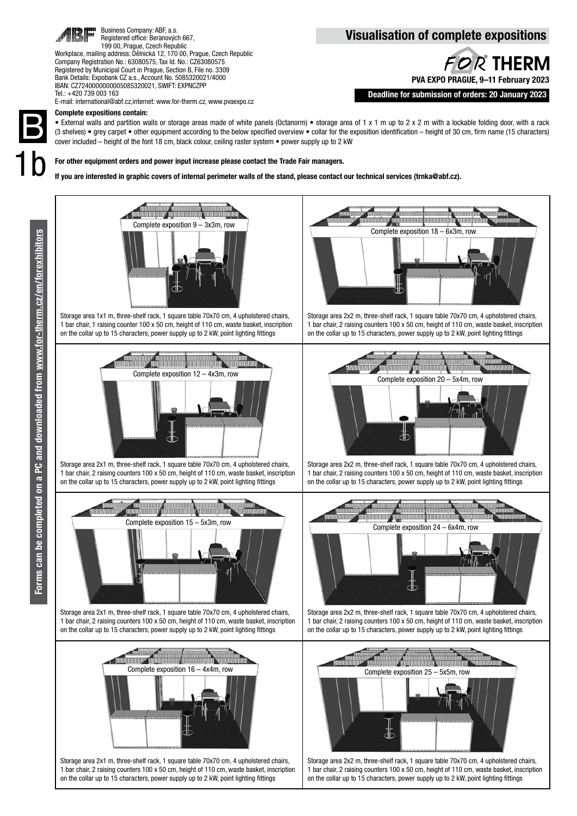

Business Company: ABF, a.s. Registered office: Beranových 667, 199 00, Prague, Czech Republic Workplace, mailing address: Dělnická 12, 170 00, Prague, Czech Republic Company Registration No.: 63080575, Tax Id. No.: CZ63080575 Registered by Municipal Court in Prague, Section B, File no. 3309

### Bank Details: Expobank CZ a.s., Account No. 5085320021/4000 IBAN: CZ7240000000005085320021, SWIFT: EXPNCZPP Tel.: +420 739 003 163

E-mail: international@abf.cz,internet: www.for-therm.cz, www.pvaexpo.cz

### Visualisation of complete expositions



Deadline for submission of orders: 20 January 2023

B1b

### Complete expositions contain:

• External walls and partition walls or storage areas made of white panels (Octanorm) • storage area of 1 x 1 m up to 2 x 2 m with a lockable folding door, with a rack (3 shelves) • grey carpet • other equipment according to the below specified overview • collar for the exposition identification – height of 30 cm, firm name (15 characters) cover included – height of the font 18 cm, black colour, ceiling raster system • power supply up to 2 kW

For other equipment orders and power input increase please contact the Trade Fair managers.

If you are interested in graphic covers of internal perimeter walls of the stand, please contact our technical services (trnka@abf.cz).





Storage area 1x1 m, three-shelf rack, 1 square table 70x70 cm, 4 upholstered chairs, 1 bar chair, 1 raising counter 100 x 50 cm, height of 110 cm, waste basket, inscription on the collar up to 15 characters, power supply up to 2 kW, point lighting fittings



Storage area 2x1 m, three-shelf rack, 1 square table 70x70 cm, 4 upholstered chairs, 1 bar chair, 2 raising counters 100 x 50 cm, height of 110 cm, waste basket, inscription on the collar up to 15 characters, power supply up to 2 kW, point lighting fittings



Storage area 2x1 m, three-shelf rack, 1 square table 70x70 cm, 4 upholstered chairs 1 bar chair, 2 raising counters 100 x 50 cm, height of 110 cm, waste basket, inscription on the collar up to 15 characters, power supply up to 2 kW, point lighting fittings



Storage area 2x1 m, three-shelf rack, 1 square table 70x70 cm, 4 upholstered chairs, 1 bar chair, 2 raising counters 100 x 50 cm, height of 110 cm, waste basket, inscription on the collar up to 15 characters, power supply up to 2 kW, point lighting fittings



Storage area 2x2 m, three-shelf rack, 1 square table 70x70 cm, 4 upholstered chairs, 1 bar chair, 2 raising counters 100 x 50 cm, height of 110 cm, waste basket, inscription on the collar up to 15 characters, power supply up to 2 kW, point lighting fittings



Storage area 2x2 m, three-shelf rack, 1 square table 70x70 cm, 4 upholstered chairs, 1 bar chair, 2 raising counters 100 x 50 cm, height of 110 cm, waste basket, inscription on the collar up to 15 characters, power supply up to 2 kW, point lighting fittings



Storage area 2x2 m, three-shelf rack, 1 square table 70x70 cm, 4 upholstered chairs, 1 bar chair, 2 raising counters 100 x 50 cm, height of 110 cm, waste basket, inscription on the collar up to 15 characters, power supply up to 2 kW, point lighting fittings



Storage area 2x2 m, three-shelf rack, 1 square table 70x70 cm, 4 upholstered chairs, 1 bar chair, 2 raising counters 100 x 50 cm, height of 110 cm, waste basket, inscription on the collar up to 15 characters, power supply up to 2 kW, point lighting fittings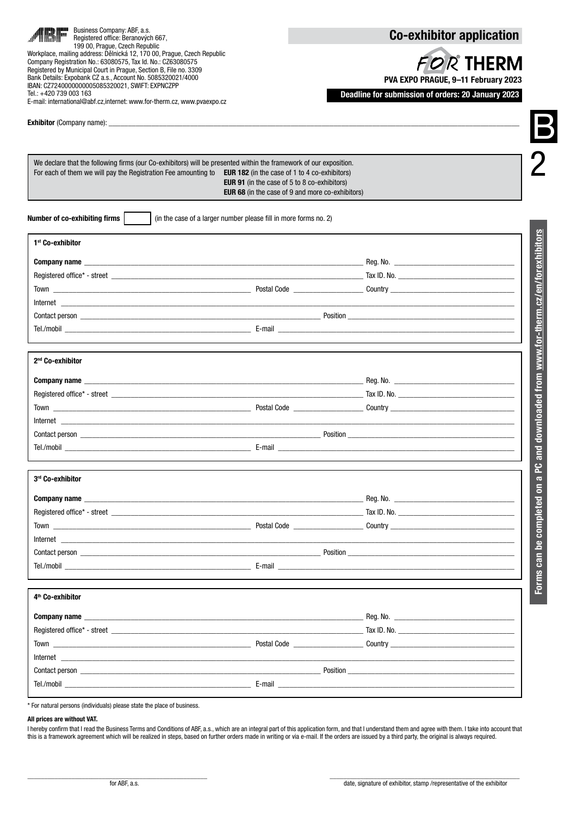| Business Company: ABF, a.s.<br>Registered office: Beranových 667,<br>199 00, Praque, Czech Republic<br>Workplace, mailing address: Dělnická 12, 170 00, Prague, Czech Republic<br>Company Registration No.: 63080575, Tax Id. No.: CZ63080575<br>Registered by Municipal Court in Prague, Section B, File no. 3309<br>Bank Details: Expobank CZ a.s., Account No. 5085320021/4000<br>IBAN: CZ7240000000005085320021, SWIFT: EXPNCZPP<br>Tel.: +420 739 003 163<br>E-mail: international@abf.cz.internet: www.for-therm.cz. www.pvaexpo.cz |                                                                                                                | <b>Co-exhibitor application</b><br><b>FOR THERM</b><br>PVA EXPO PRAGUE, 9-11 February 2023<br>Deadline for submission of orders: 20 January 2023 |                                                     |
|-------------------------------------------------------------------------------------------------------------------------------------------------------------------------------------------------------------------------------------------------------------------------------------------------------------------------------------------------------------------------------------------------------------------------------------------------------------------------------------------------------------------------------------------|----------------------------------------------------------------------------------------------------------------|--------------------------------------------------------------------------------------------------------------------------------------------------|-----------------------------------------------------|
| We declare that the following firms (our Co-exhibitors) will be presented within the framework of our exposition.<br>For each of them we will pay the Registration Fee amounting to EUR 182 (in the case of 1 to 4 co-exhibitors)                                                                                                                                                                                                                                                                                                         | <b>EUR 91</b> (in the case of 5 to 8 co-exhibitors)<br><b>EUR 68</b> (in the case of 9 and more co-exhibitors) |                                                                                                                                                  |                                                     |
| Number of co-exhibiting firms                                                                                                                                                                                                                                                                                                                                                                                                                                                                                                             | (in the case of a larger number please fill in more forms no. 2)                                               |                                                                                                                                                  |                                                     |
| 1 <sup>st</sup> Co-exhibitor                                                                                                                                                                                                                                                                                                                                                                                                                                                                                                              |                                                                                                                |                                                                                                                                                  |                                                     |
|                                                                                                                                                                                                                                                                                                                                                                                                                                                                                                                                           |                                                                                                                |                                                                                                                                                  |                                                     |
|                                                                                                                                                                                                                                                                                                                                                                                                                                                                                                                                           |                                                                                                                |                                                                                                                                                  |                                                     |
|                                                                                                                                                                                                                                                                                                                                                                                                                                                                                                                                           |                                                                                                                |                                                                                                                                                  |                                                     |
|                                                                                                                                                                                                                                                                                                                                                                                                                                                                                                                                           |                                                                                                                |                                                                                                                                                  |                                                     |
|                                                                                                                                                                                                                                                                                                                                                                                                                                                                                                                                           |                                                                                                                |                                                                                                                                                  |                                                     |
|                                                                                                                                                                                                                                                                                                                                                                                                                                                                                                                                           |                                                                                                                |                                                                                                                                                  |                                                     |
| 2 <sup>nd</sup> Co-exhibitor                                                                                                                                                                                                                                                                                                                                                                                                                                                                                                              |                                                                                                                |                                                                                                                                                  | d downloaded from www.for-therm.cz/en/forexhibitors |
|                                                                                                                                                                                                                                                                                                                                                                                                                                                                                                                                           |                                                                                                                |                                                                                                                                                  |                                                     |
|                                                                                                                                                                                                                                                                                                                                                                                                                                                                                                                                           |                                                                                                                |                                                                                                                                                  |                                                     |
|                                                                                                                                                                                                                                                                                                                                                                                                                                                                                                                                           |                                                                                                                |                                                                                                                                                  |                                                     |
|                                                                                                                                                                                                                                                                                                                                                                                                                                                                                                                                           |                                                                                                                |                                                                                                                                                  |                                                     |
|                                                                                                                                                                                                                                                                                                                                                                                                                                                                                                                                           |                                                                                                                |                                                                                                                                                  |                                                     |
|                                                                                                                                                                                                                                                                                                                                                                                                                                                                                                                                           |                                                                                                                |                                                                                                                                                  | $\overline{\mathbf{c}}$                             |
| 3rd Co-exhibitor                                                                                                                                                                                                                                                                                                                                                                                                                                                                                                                          |                                                                                                                |                                                                                                                                                  | ဥ<br>$\overline{\mathbf{c}}$                        |
|                                                                                                                                                                                                                                                                                                                                                                                                                                                                                                                                           |                                                                                                                |                                                                                                                                                  |                                                     |
| Registered office* - street example and the street example of the street example of the street example of the street example of the street example of the street example of the street example of the street example of the st                                                                                                                                                                                                                                                                                                            |                                                                                                                |                                                                                                                                                  |                                                     |
|                                                                                                                                                                                                                                                                                                                                                                                                                                                                                                                                           |                                                                                                                |                                                                                                                                                  |                                                     |
|                                                                                                                                                                                                                                                                                                                                                                                                                                                                                                                                           |                                                                                                                |                                                                                                                                                  |                                                     |
|                                                                                                                                                                                                                                                                                                                                                                                                                                                                                                                                           |                                                                                                                |                                                                                                                                                  |                                                     |
|                                                                                                                                                                                                                                                                                                                                                                                                                                                                                                                                           |                                                                                                                |                                                                                                                                                  | Forms can be completed on                           |
| 4 <sup>th</sup> Co-exhibitor                                                                                                                                                                                                                                                                                                                                                                                                                                                                                                              |                                                                                                                |                                                                                                                                                  |                                                     |
|                                                                                                                                                                                                                                                                                                                                                                                                                                                                                                                                           |                                                                                                                |                                                                                                                                                  |                                                     |
|                                                                                                                                                                                                                                                                                                                                                                                                                                                                                                                                           |                                                                                                                |                                                                                                                                                  |                                                     |
|                                                                                                                                                                                                                                                                                                                                                                                                                                                                                                                                           |                                                                                                                |                                                                                                                                                  |                                                     |
|                                                                                                                                                                                                                                                                                                                                                                                                                                                                                                                                           |                                                                                                                |                                                                                                                                                  |                                                     |
| Contact person experience and the contract person of the contract person of the contract person of the contract of the contract of the contract of the contract of the contract of the contract of the contract of the contrac                                                                                                                                                                                                                                                                                                            |                                                                                                                |                                                                                                                                                  |                                                     |
|                                                                                                                                                                                                                                                                                                                                                                                                                                                                                                                                           |                                                                                                                |                                                                                                                                                  |                                                     |
|                                                                                                                                                                                                                                                                                                                                                                                                                                                                                                                                           |                                                                                                                |                                                                                                                                                  |                                                     |

### All prices are without VAT.

I hereby confirm that I read the Business Terms and Conditions of ABF, a.s., which are an integral part of this application form, and that I understand them and agree with them. I take into account that this is a framework agreement which will be realized in steps, based on further orders made in writing or via e-mail. If the orders are issued by a third party, the original is always required.

\_\_\_\_\_\_\_\_\_\_\_\_\_\_\_\_\_\_\_\_\_\_\_\_\_\_\_\_\_\_\_\_\_\_\_\_\_\_\_\_\_\_\_\_\_\_\_\_\_\_\_\_\_ \_\_\_\_\_\_\_\_\_\_\_\_\_\_\_\_\_\_\_\_\_\_\_\_\_\_\_\_\_\_\_\_\_\_\_\_\_\_\_\_\_\_\_\_\_\_\_\_\_\_\_\_\_\_\_\_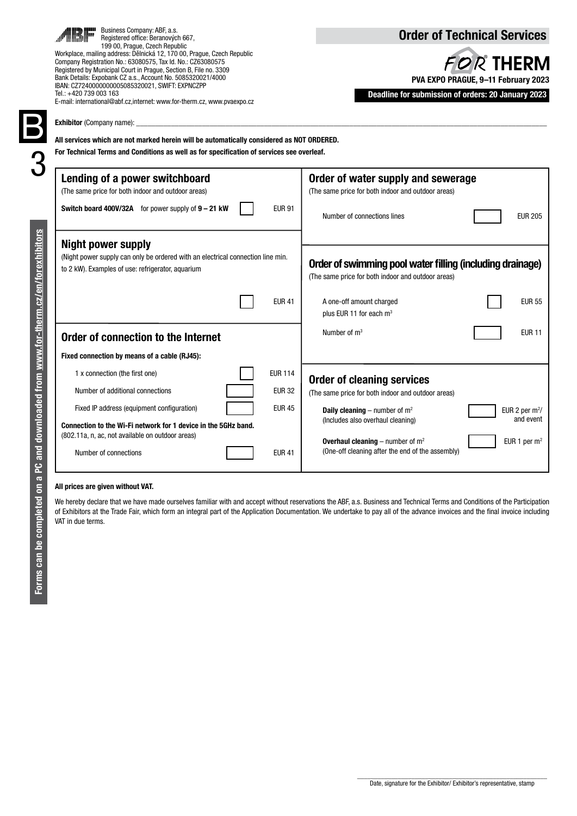|                                                       | Business Company: ABF, a.s.<br>Registered office: Beranových 667,<br>199 00, Praque, Czech Republic<br>Workplace, mailing address: Dělnická 12, 170 00, Prague, Czech Republic<br>Company Registration No.: 63080575, Tax Id. No.: CZ63080575<br>Registered by Municipal Court in Prague, Section B, File no. 3309<br>Bank Details: Expobank CZ a.s., Account No. 5085320021/4000<br>IBAN: CZ7240000000005085320021, SWIFT: EXPNCZPP<br>Tel.: +420 739 003 163<br>E-mail: international@abf.cz,internet: www.for-therm.cz, www.pvaexpo.cz<br><b>Exhibitor</b> (Company name):<br>All services which are not marked herein will be automatically considered as NOT ORDERED.<br>For Technical Terms and Conditions as well as for specification of services see overleaf. | <b>Order of Technical Services</b><br><b>FOR THERM</b><br>PVA EXPO PRAGUE, 9-11 February 2023<br>Deadline for submission of orders: 20 January 2023                                      |  |  |
|-------------------------------------------------------|-------------------------------------------------------------------------------------------------------------------------------------------------------------------------------------------------------------------------------------------------------------------------------------------------------------------------------------------------------------------------------------------------------------------------------------------------------------------------------------------------------------------------------------------------------------------------------------------------------------------------------------------------------------------------------------------------------------------------------------------------------------------------|------------------------------------------------------------------------------------------------------------------------------------------------------------------------------------------|--|--|
|                                                       | Lending of a power switchboard<br>(The same price for both indoor and outdoor areas)<br>Switch board 400V/32A for power supply of 9 - 21 kW<br><b>EUR 91</b>                                                                                                                                                                                                                                                                                                                                                                                                                                                                                                                                                                                                            | Order of water supply and sewerage<br>(The same price for both indoor and outdoor areas)<br>Number of connections lines<br><b>EUR 205</b>                                                |  |  |
| and downloaded from www.for-therm.cz/en/forexhibitors | <b>Night power supply</b><br>(Night power supply can only be ordered with an electrical connection line min.<br>to 2 kW). Examples of use: refrigerator, aguarium                                                                                                                                                                                                                                                                                                                                                                                                                                                                                                                                                                                                       | Order of swimming pool water filling (including drainage)<br>(The same price for both indoor and outdoor areas)                                                                          |  |  |
|                                                       | <b>EUR 41</b>                                                                                                                                                                                                                                                                                                                                                                                                                                                                                                                                                                                                                                                                                                                                                           | A one-off amount charged<br><b>EUR 55</b><br>plus EUR 11 for each m <sup>3</sup>                                                                                                         |  |  |
|                                                       | Order of connection to the Internet                                                                                                                                                                                                                                                                                                                                                                                                                                                                                                                                                                                                                                                                                                                                     | <b>EUR 11</b><br>Number of $m3$                                                                                                                                                          |  |  |
|                                                       | Fixed connection by means of a cable (RJ45):                                                                                                                                                                                                                                                                                                                                                                                                                                                                                                                                                                                                                                                                                                                            |                                                                                                                                                                                          |  |  |
|                                                       | <b>EUR 114</b><br>1 x connection (the first one)<br>Number of additional connections<br><b>EUR 32</b>                                                                                                                                                                                                                                                                                                                                                                                                                                                                                                                                                                                                                                                                   | <b>Order of cleaning services</b><br>(The same price for both indoor and outdoor areas)                                                                                                  |  |  |
|                                                       | Fixed IP address (equipment configuration)<br><b>EUR 45</b><br>Connection to the Wi-Fi network for 1 device in the 5GHz band.<br>(802.11a, n, ac, not available on outdoor areas)                                                                                                                                                                                                                                                                                                                                                                                                                                                                                                                                                                                       | <b>Daily cleaning</b> – number of $m^2$<br>EUR 2 per $m^2$ /<br>and event<br>(Includes also overhaul cleaning)<br>EUR 1 per m <sup>2</sup><br><b>Overhaul cleaning</b> – number of $m^2$ |  |  |
| د                                                     | <b>EUR 41</b><br>Number of connections                                                                                                                                                                                                                                                                                                                                                                                                                                                                                                                                                                                                                                                                                                                                  | (One-off cleaning after the end of the assembly)                                                                                                                                         |  |  |

### All prices are given without VAT.

We hereby declare that we have made ourselves familiar with and accept without reservations the ABF, a.s. Business and Technical Terms and Conditions of the Participation of Exhibitors at the Trade Fair, which form an integral part of the Application Documentation. We undertake to pay all of the advance invoices and the final invoice including VAT in due terms.

Date, signature for the Exhibitor/ Exhibitor's representative, stamp